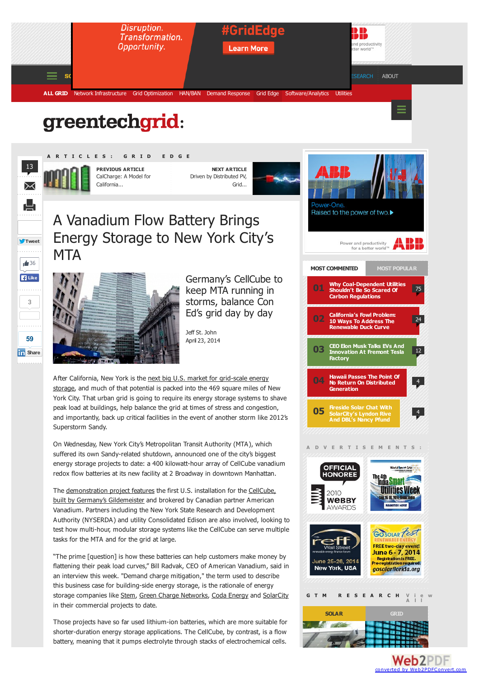## greentechgrid:



**Tweet**

g,

 $\triangleq$  36 **Like** 

. . . . . . . .

3

**59 In** [Share](javascript:void(0);)

an an an

**A R T I C L E S : G R I D E D G E**

**PREVIOUS ARTICLE** CalCharge: A Model for California...

**NEXT ARTICLE** Driven by Distributed PV, Grid...



A Vanadium Flow Battery Brings Energy Storage to New York City's **MTA** 



<span id="page-0-0"></span>Germany's CellCube to keep MTA running in storms, balance Con Ed's grid day by day

Jeff St. [John](http://www.greentechmedia.com/authors/Jeff+St.+John) April 23, 2014

After [California,](http://www.greentechmedia.com/articles/read/Grid-Scale-Energy-Storage-to-Reduce-Load-in-New-York-City) New York is the next big U.S. market for grid-scale energy storage, and much of that potential is packed into the 469 square miles of New York City. That urban grid is going to require its energy storage systems to shave peak load at buildings, help balance the grid at times of stress and congestion, and importantly, back up critical facilities in the event of another storm like 2012's Superstorm Sandy.

On Wednesday, New York City's Metropolitan Transit Authority (MTA), which suffered its own Sandy-related shutdown, announced one of the city's biggest energy storage projects to date: a 400 kilowatt-hour array of CellCube vanadium redox flow batteries at its new facility at 2 Broadway in downtown Manhattan.

The [demonstration](http://www.greentechmedia.com/articles/read/the-german-american-vanadium-flow-battery-connection) project features the first U.S. installation for the CellCube, built by Germany's Gildemeister and brokered by Canadian partner American Vanadium. Partners including the New York State Research and Development Authority (NYSERDA) and utility Consolidated Edison are also involved, looking to test how multi-hour, modular storage systems like the CellCube can serve multiple tasks for the MTA and for the grid at large.

"The prime [question] is how these batteries can help customers make money by flattening their peak load curves," Bill Radvak, CEO of American Vanadium, said in an interview this week. "Demand charge mitigation," the term used to describe this business case for building-side energy storage, is the rationale of energy storage companies like [Stem](http://www.greentechmedia.com/articles/read/Grid-Scale-Energy-Storage-Firms-Search-For-Business-Case-in-New-Shifting), Green Charge [Networks](http://www.greentechmedia.com/articles/read/Can-No-Money-Down-Financing-Unlock-the-Batteries-for-Buildings-Market), Coda [Energy](http://www.greentechmedia.com/articles/read/coda-energy-joins-the-no-money-down-building-energy-storage-fray) and [SolarCity](http://www.greentechmedia.com/articles/read/SolarCitys-Networked-Grid-Ready-Energy-Storage-Fleet) in their commercial projects to date.

Those projects have so far used lithium-ion batteries, which are more suitable for shorter-duration energy storage applications. The CellCube, by contrast, is a flow battery, meaning that it pumps electrolyte through stacks of electrochemical cells.



## **[V](http://www.greentechmedia.com/research) i e w G T M R E S E A R C H**



**Web2PDF** converted by [Web2PDFConvert.com](http://www.web2pdfconvert.com?ref=PDF)